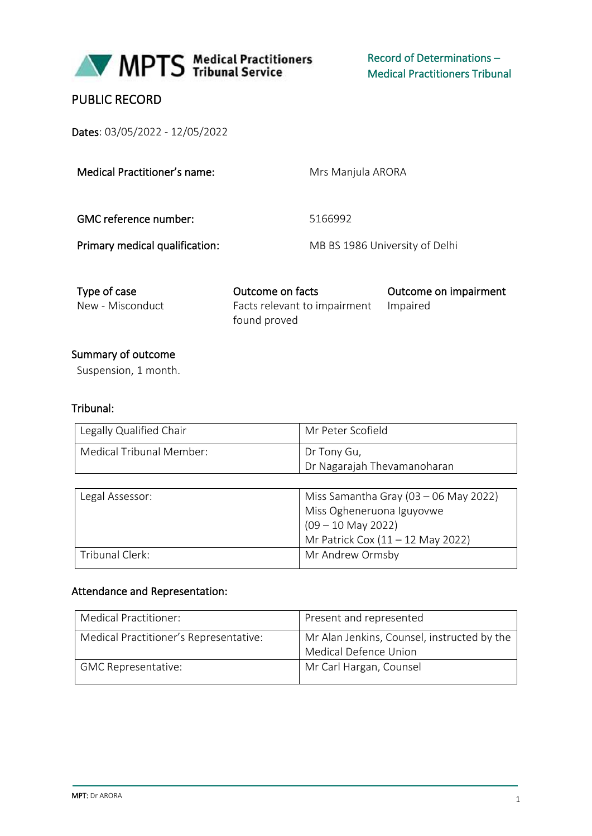

Record of Determinations – Medical Practitioners Tribunal

# PUBLIC RECORD

Dates: 03/05/2022 - 12/05/2022

Medical Practitioner's name: Mrs Manjula ARORA

GMC reference number: 5166992

Primary medical qualification: MB BS 1986 University of Delhi

| Type of case     | Outcome on facts                      | Outcome on impairment |
|------------------|---------------------------------------|-----------------------|
| New - Misconduct | Facts relevant to impairment Impaired |                       |
|                  | found proved                          |                       |

### Summary of outcome

Suspension, 1 month.

### Tribunal:

| Legally Qualified Chair  | Mr Peter Scofield           |
|--------------------------|-----------------------------|
| Medical Tribunal Member: | Dr Tony Gu,                 |
|                          | Dr Nagarajah Thevamanoharan |

| Legal Assessor: | Miss Samantha Gray (03 - 06 May 2022) |  |
|-----------------|---------------------------------------|--|
|                 | Miss Ogheneruona Iguyovwe             |  |
|                 | $(09 - 10$ May 2022)                  |  |
|                 | Mr Patrick Cox $(11 - 12$ May 2022)   |  |
| Tribunal Clerk: | Mr Andrew Ormsby                      |  |

#### Attendance and Representation:

| Medical Practitioner:                  | Present and represented                                              |
|----------------------------------------|----------------------------------------------------------------------|
| Medical Practitioner's Representative: | Mr Alan Jenkins, Counsel, instructed by the<br>Medical Defence Union |
| <b>GMC Representative:</b>             | Mr Carl Hargan, Counsel                                              |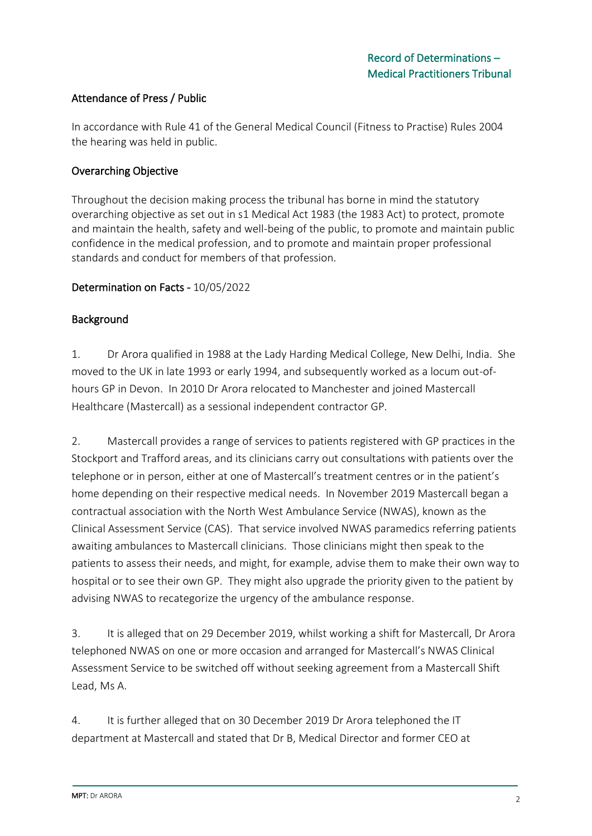### Attendance of Press / Public

In accordance with Rule 41 of the General Medical Council (Fitness to Practise) Rules 2004 the hearing was held in public.

### Overarching Objective

Throughout the decision making process the tribunal has borne in mind the statutory overarching objective as set out in s1 Medical Act 1983 (the 1983 Act) to protect, promote and maintain the health, safety and well-being of the public, to promote and maintain public confidence in the medical profession, and to promote and maintain proper professional standards and conduct for members of that profession.

### Determination on Facts - 10/05/2022

### Background

1. Dr Arora qualified in 1988 at the Lady Harding Medical College, New Delhi, India. She moved to the UK in late 1993 or early 1994, and subsequently worked as a locum out-ofhours GP in Devon. In 2010 Dr Arora relocated to Manchester and joined Mastercall Healthcare (Mastercall) as a sessional independent contractor GP.

2. Mastercall provides a range of services to patients registered with GP practices in the Stockport and Trafford areas, and its clinicians carry out consultations with patients over the telephone or in person, either at one of Mastercall's treatment centres or in the patient's home depending on their respective medical needs. In November 2019 Mastercall began a contractual association with the North West Ambulance Service (NWAS), known as the Clinical Assessment Service (CAS). That service involved NWAS paramedics referring patients awaiting ambulances to Mastercall clinicians. Those clinicians might then speak to the patients to assess their needs, and might, for example, advise them to make their own way to hospital or to see their own GP. They might also upgrade the priority given to the patient by advising NWAS to recategorize the urgency of the ambulance response.

3. It is alleged that on 29 December 2019, whilst working a shift for Mastercall, Dr Arora telephoned NWAS on one or more occasion and arranged for Mastercall's NWAS Clinical Assessment Service to be switched off without seeking agreement from a Mastercall Shift Lead, Ms A.

4. It is further alleged that on 30 December 2019 Dr Arora telephoned the IT department at Mastercall and stated that Dr B, Medical Director and former CEO at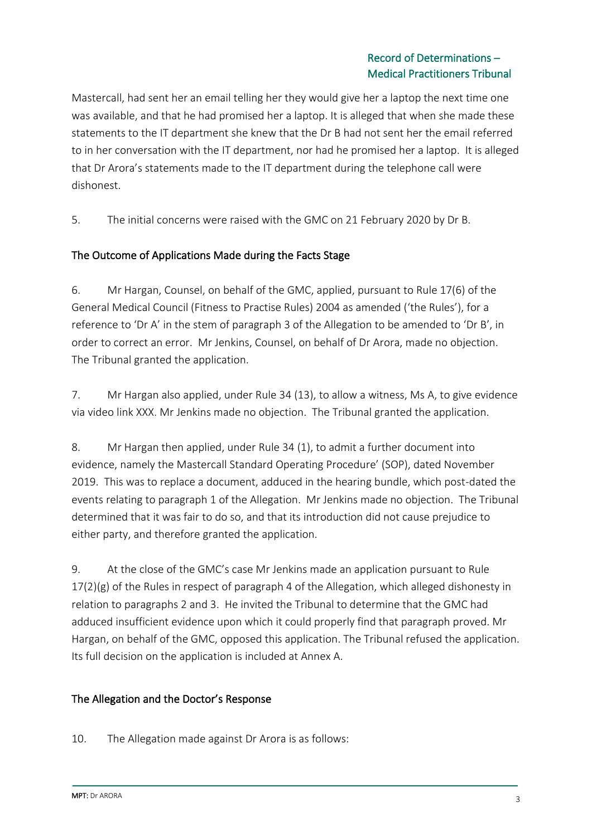### Record of Determinations – Medical Practitioners Tribunal

Mastercall, had sent her an email telling her they would give her a laptop the next time one was available, and that he had promised her a laptop. It is alleged that when she made these statements to the IT department she knew that the Dr B had not sent her the email referred to in her conversation with the IT department, nor had he promised her a laptop. It is alleged that Dr Arora's statements made to the IT department during the telephone call were dishonest.

5. The initial concerns were raised with the GMC on 21 February 2020 by Dr B.

### The Outcome of Applications Made during the Facts Stage

6. Mr Hargan, Counsel, on behalf of the GMC, applied, pursuant to Rule 17(6) of the General Medical Council (Fitness to Practise Rules) 2004 as amended ('the Rules'), for a reference to 'Dr A' in the stem of paragraph 3 of the Allegation to be amended to 'Dr B', in order to correct an error. Mr Jenkins, Counsel, on behalf of Dr Arora, made no objection. The Tribunal granted the application.

7. Mr Hargan also applied, under Rule 34 (13), to allow a witness, Ms A, to give evidence via video link XXX. Mr Jenkins made no objection. The Tribunal granted the application.

8. Mr Hargan then applied, under Rule 34 (1), to admit a further document into evidence, namely the Mastercall Standard Operating Procedure' (SOP), dated November 2019. This was to replace a document, adduced in the hearing bundle, which post-dated the events relating to paragraph 1 of the Allegation. Mr Jenkins made no objection. The Tribunal determined that it was fair to do so, and that its introduction did not cause prejudice to either party, and therefore granted the application.

9. At the close of the GMC's case Mr Jenkins made an application pursuant to Rule  $17(2)(g)$  of the Rules in respect of paragraph 4 of the Allegation, which alleged dishonesty in relation to paragraphs 2 and 3. He invited the Tribunal to determine that the GMC had adduced insufficient evidence upon which it could properly find that paragraph proved. Mr Hargan, on behalf of the GMC, opposed this application. The Tribunal refused the application. Its full decision on the application is included at Annex A.

### The Allegation and the Doctor's Response

10. The Allegation made against Dr Arora is as follows: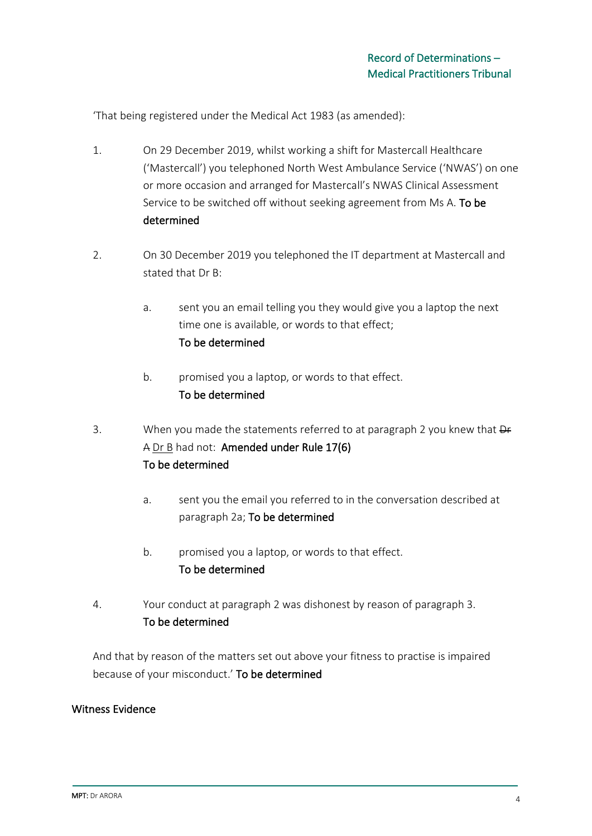'That being registered under the Medical Act 1983 (as amended):

- 1. On 29 December 2019, whilst working a shift for Mastercall Healthcare ('Mastercall') you telephoned North West Ambulance Service ('NWAS') on one or more occasion and arranged for Mastercall's NWAS Clinical Assessment Service to be switched off without seeking agreement from Ms A. To be determined
- 2. On 30 December 2019 you telephoned the IT department at Mastercall and stated that Dr B:
	- a. sent you an email telling you they would give you a laptop the next time one is available, or words to that effect; To be determined
	- b. promised you a laptop, or words to that effect. To be determined
- 3. When you made the statements referred to at paragraph 2 you knew that  $\Theta$ A Dr B had not: Amended under Rule 17(6) To be determined
	- a. sent you the email you referred to in the conversation described at paragraph 2a; To be determined
	- b. promised you a laptop, or words to that effect. To be determined
- 4. Your conduct at paragraph 2 was dishonest by reason of paragraph 3. To be determined

And that by reason of the matters set out above your fitness to practise is impaired because of your misconduct.' To be determined

## Witness Evidence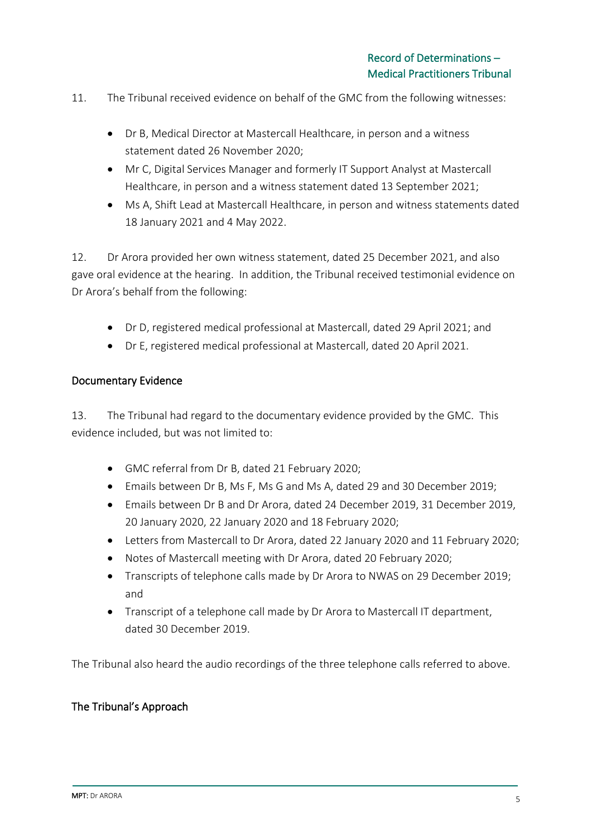- 11. The Tribunal received evidence on behalf of the GMC from the following witnesses:
	- Dr B, Medical Director at Mastercall Healthcare, in person and a witness statement dated 26 November 2020;
	- Mr C, Digital Services Manager and formerly IT Support Analyst at Mastercall Healthcare, in person and a witness statement dated 13 September 2021;
	- Ms A, Shift Lead at Mastercall Healthcare, in person and witness statements dated 18 January 2021 and 4 May 2022.

12. Dr Arora provided her own witness statement, dated 25 December 2021, and also gave oral evidence at the hearing. In addition, the Tribunal received testimonial evidence on Dr Arora's behalf from the following:

- Dr D, registered medical professional at Mastercall, dated 29 April 2021; and
- Dr E, registered medical professional at Mastercall, dated 20 April 2021.

### Documentary Evidence

13. The Tribunal had regard to the documentary evidence provided by the GMC. This evidence included, but was not limited to:

- GMC referral from Dr B, dated 21 February 2020;
- Emails between Dr B, Ms F, Ms G and Ms A, dated 29 and 30 December 2019;
- Emails between Dr B and Dr Arora, dated 24 December 2019, 31 December 2019, 20 January 2020, 22 January 2020 and 18 February 2020;
- Letters from Mastercall to Dr Arora, dated 22 January 2020 and 11 February 2020;
- Notes of Mastercall meeting with Dr Arora, dated 20 February 2020;
- Transcripts of telephone calls made by Dr Arora to NWAS on 29 December 2019; and
- Transcript of a telephone call made by Dr Arora to Mastercall IT department, dated 30 December 2019.

The Tribunal also heard the audio recordings of the three telephone calls referred to above.

### The Tribunal's Approach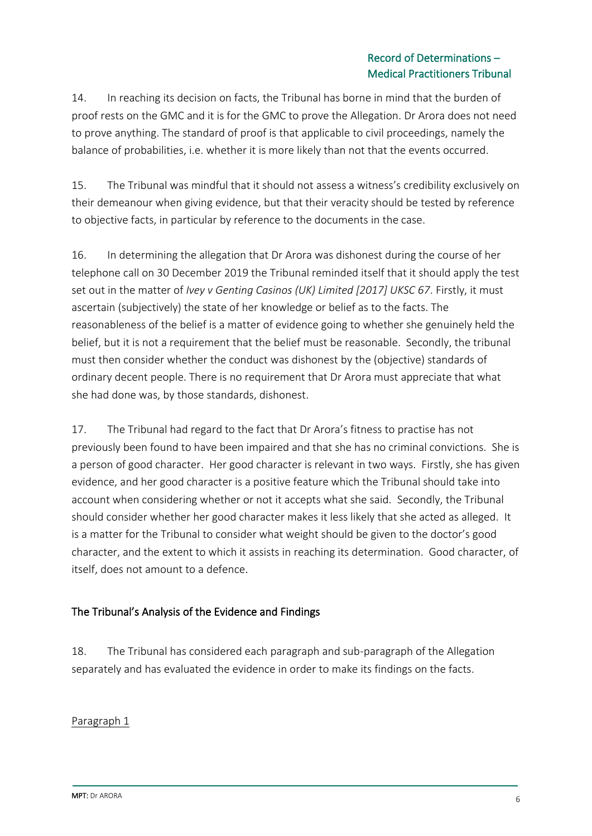### Record of Determinations – Medical Practitioners Tribunal

14. In reaching its decision on facts, the Tribunal has borne in mind that the burden of proof rests on the GMC and it is for the GMC to prove the Allegation. Dr Arora does not need to prove anything. The standard of proof is that applicable to civil proceedings, namely the balance of probabilities, i.e. whether it is more likely than not that the events occurred.

15. The Tribunal was mindful that it should not assess a witness's credibility exclusively on their demeanour when giving evidence, but that their veracity should be tested by reference to objective facts, in particular by reference to the documents in the case.

16. In determining the allegation that Dr Arora was dishonest during the course of her telephone call on 30 December 2019 the Tribunal reminded itself that it should apply the test set out in the matter of *Ivey v Genting Casinos (UK) Limited [2017] UKSC 67*. Firstly, it must ascertain (subjectively) the state of her knowledge or belief as to the facts. The reasonableness of the belief is a matter of evidence going to whether she genuinely held the belief, but it is not a requirement that the belief must be reasonable. Secondly, the tribunal must then consider whether the conduct was dishonest by the (objective) standards of ordinary decent people. There is no requirement that Dr Arora must appreciate that what she had done was, by those standards, dishonest.

17. The Tribunal had regard to the fact that Dr Arora's fitness to practise has not previously been found to have been impaired and that she has no criminal convictions. She is a person of good character. Her good character is relevant in two ways. Firstly, she has given evidence, and her good character is a positive feature which the Tribunal should take into account when considering whether or not it accepts what she said. Secondly, the Tribunal should consider whether her good character makes it less likely that she acted as alleged. It is a matter for the Tribunal to consider what weight should be given to the doctor's good character, and the extent to which it assists in reaching its determination. Good character, of itself, does not amount to a defence.

## The Tribunal's Analysis of the Evidence and Findings

18. The Tribunal has considered each paragraph and sub-paragraph of the Allegation separately and has evaluated the evidence in order to make its findings on the facts.

### Paragraph 1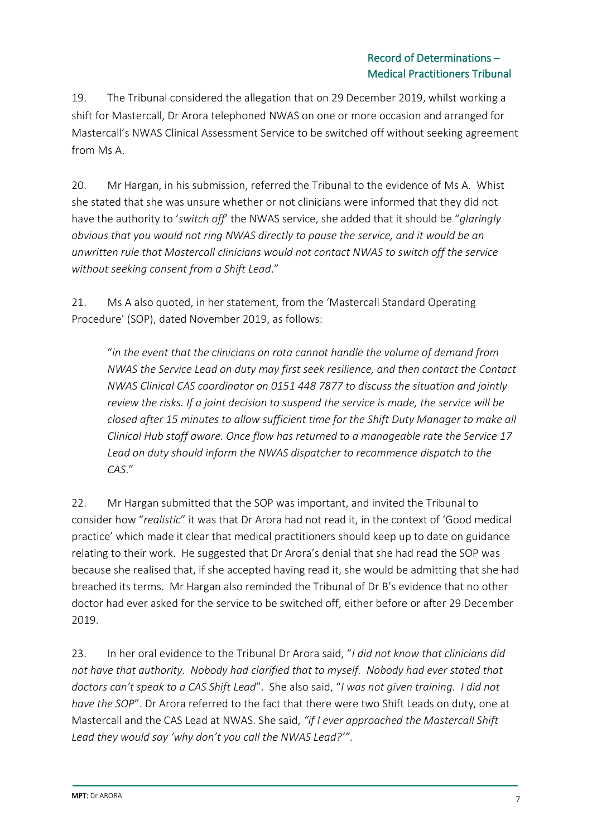19. The Tribunal considered the allegation that on 29 December 2019, whilst working a shift for Mastercall, Dr Arora telephoned NWAS on one or more occasion and arranged for Mastercall's NWAS Clinical Assessment Service to be switched off without seeking agreement from Ms A.

20. Mr Hargan, in his submission, referred the Tribunal to the evidence of Ms A. Whist she stated that she was unsure whether or not clinicians were informed that they did not have the authority to '*switch off*' the NWAS service, she added that it should be "*glaringly obvious that you would not ring NWAS directly to pause the service, and it would be an unwritten rule that Mastercall clinicians would not contact NWAS to switch off the service without seeking consent from a Shift Lead*."

21. Ms A also quoted, in her statement, from the 'Mastercall Standard Operating Procedure' (SOP), dated November 2019, as follows:

"*in the event that the clinicians on rota cannot handle the volume of demand from NWAS the Service Lead on duty may first seek resilience, and then contact the Contact NWAS Clinical CAS coordinator on 0151 448 7877 to discuss the situation and jointly review the risks. If a joint decision to suspend the service is made, the service will be closed after 15 minutes to allow sufficient time for the Shift Duty Manager to make all Clinical Hub staff aware. Once flow has returned to a manageable rate the Service 17 Lead on duty should inform the NWAS dispatcher to recommence dispatch to the CAS*."

22. Mr Hargan submitted that the SOP was important, and invited the Tribunal to consider how "*realistic*" it was that Dr Arora had not read it, in the context of 'Good medical practice' which made it clear that medical practitioners should keep up to date on guidance relating to their work. He suggested that Dr Arora's denial that she had read the SOP was because she realised that, if she accepted having read it, she would be admitting that she had breached its terms. Mr Hargan also reminded the Tribunal of Dr B's evidence that no other doctor had ever asked for the service to be switched off, either before or after 29 December 2019.

23. In her oral evidence to the Tribunal Dr Arora said, "*I did not know that clinicians did not have that authority. Nobody had clarified that to myself. Nobody had ever stated that doctors can't speak to a CAS Shift Lead*". She also said, "*I was not given training. I did not have the SOP*". Dr Arora referred to the fact that there were two Shift Leads on duty, one at Mastercall and the CAS Lead at NWAS. She said, *"if I ever approached the Mastercall Shift Lead they would say 'why don't you call the NWAS Lead?'"*.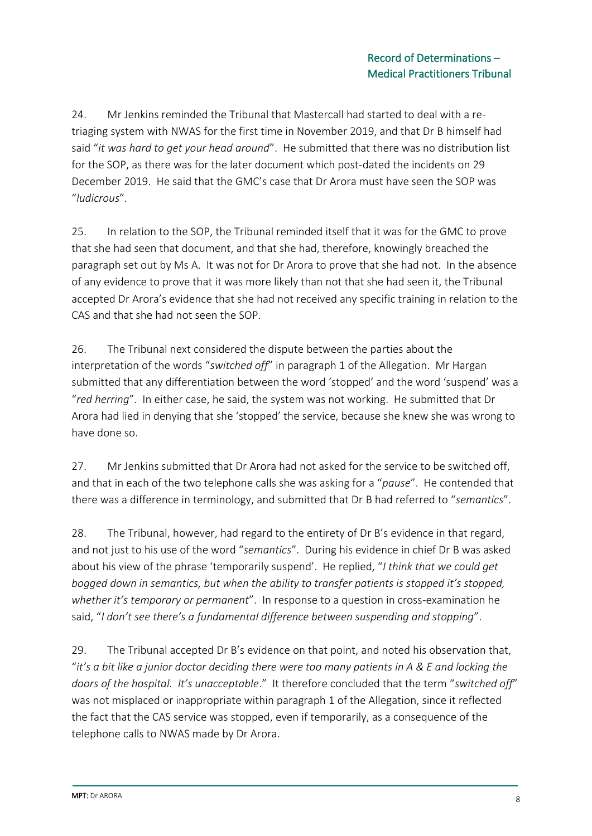24. Mr Jenkins reminded the Tribunal that Mastercall had started to deal with a retriaging system with NWAS for the first time in November 2019, and that Dr B himself had said "*it was hard to get your head around*". He submitted that there was no distribution list for the SOP, as there was for the later document which post-dated the incidents on 29 December 2019. He said that the GMC's case that Dr Arora must have seen the SOP was "*ludicrous*".

25. In relation to the SOP, the Tribunal reminded itself that it was for the GMC to prove that she had seen that document, and that she had, therefore, knowingly breached the paragraph set out by Ms A. It was not for Dr Arora to prove that she had not. In the absence of any evidence to prove that it was more likely than not that she had seen it, the Tribunal accepted Dr Arora's evidence that she had not received any specific training in relation to the CAS and that she had not seen the SOP.

26. The Tribunal next considered the dispute between the parties about the interpretation of the words "*switched off*" in paragraph 1 of the Allegation. Mr Hargan submitted that any differentiation between the word 'stopped' and the word 'suspend' was a "*red herring*". In either case, he said, the system was not working. He submitted that Dr Arora had lied in denying that she 'stopped' the service, because she knew she was wrong to have done so.

27. Mr Jenkins submitted that Dr Arora had not asked for the service to be switched off, and that in each of the two telephone calls she was asking for a "*pause*". He contended that there was a difference in terminology, and submitted that Dr B had referred to "*semantics*".

28. The Tribunal, however, had regard to the entirety of Dr B's evidence in that regard, and not just to his use of the word "*semantics*". During his evidence in chief Dr B was asked about his view of the phrase 'temporarily suspend'. He replied, "*I think that we could get bogged down in semantics, but when the ability to transfer patients is stopped it's stopped, whether it's temporary or permanent*". In response to a question in cross-examination he said, "*I don't see there's a fundamental difference between suspending and stopping*".

29. The Tribunal accepted Dr B's evidence on that point, and noted his observation that, "*it's a bit like a junior doctor deciding there were too many patients in A & E and locking the doors of the hospital. It's unacceptable*." It therefore concluded that the term "*switched off*" was not misplaced or inappropriate within paragraph 1 of the Allegation, since it reflected the fact that the CAS service was stopped, even if temporarily, as a consequence of the telephone calls to NWAS made by Dr Arora.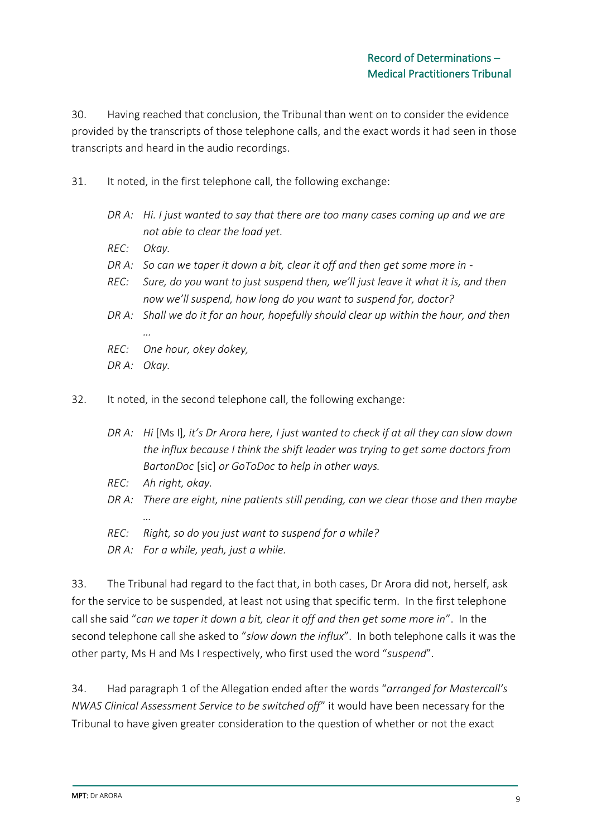30. Having reached that conclusion, the Tribunal than went on to consider the evidence provided by the transcripts of those telephone calls, and the exact words it had seen in those transcripts and heard in the audio recordings.

- 31. It noted, in the first telephone call, the following exchange:
	- *DR A: Hi. I just wanted to say that there are too many cases coming up and we are not able to clear the load yet.*
	- *REC: Okay.*
	- *DR A: So can we taper it down a bit, clear it off and then get some more in -*
	- *REC: Sure, do you want to just suspend then, we'll just leave it what it is, and then now we'll suspend, how long do you want to suspend for, doctor?*
	- *DR A: Shall we do it for an hour, hopefully should clear up within the hour, and then …*
	- *REC: One hour, okey dokey,*
	- *DR A: Okay.*
- 32. It noted, in the second telephone call, the following exchange:
	- *DR A: Hi* [Ms I]*, it's Dr Arora here, I just wanted to check if at all they can slow down the influx because I think the shift leader was trying to get some doctors from BartonDoc* [sic] *or GoToDoc to help in other ways.*
	- *REC: Ah right, okay.*
	- *DR A: There are eight, nine patients still pending, can we clear those and then maybe …*
	- *REC: Right, so do you just want to suspend for a while?*
	- *DR A: For a while, yeah, just a while.*

33. The Tribunal had regard to the fact that, in both cases, Dr Arora did not, herself, ask for the service to be suspended, at least not using that specific term. In the first telephone call she said "*can we taper it down a bit, clear it off and then get some more in*". In the second telephone call she asked to "*slow down the influx*". In both telephone calls it was the other party, Ms H and Ms I respectively, who first used the word "*suspend*".

34. Had paragraph 1 of the Allegation ended after the words "*arranged for Mastercall's NWAS Clinical Assessment Service to be switched off*" it would have been necessary for the Tribunal to have given greater consideration to the question of whether or not the exact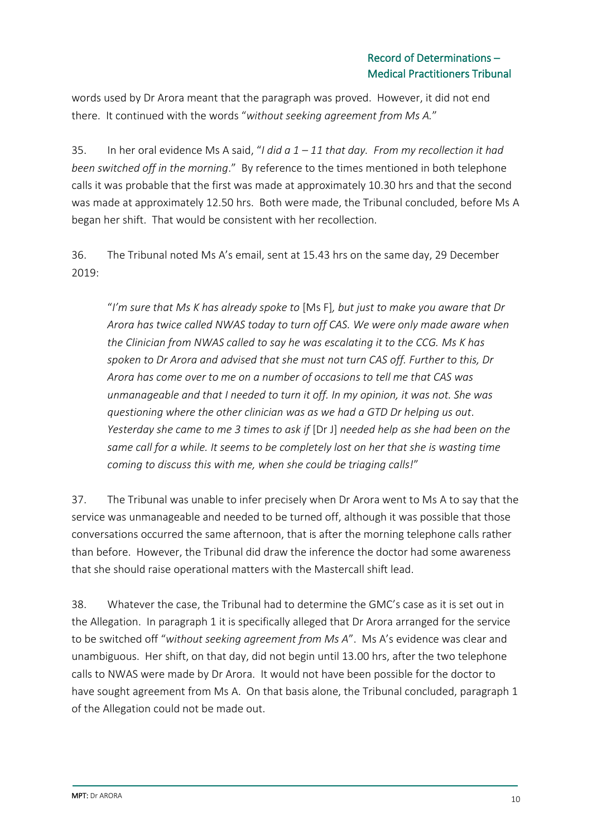words used by Dr Arora meant that the paragraph was proved. However, it did not end there. It continued with the words "*without seeking agreement from Ms A.*"

35. In her oral evidence Ms A said, "*I did a 1 – 11 that day. From my recollection it had been switched off in the morning*." By reference to the times mentioned in both telephone calls it was probable that the first was made at approximately 10.30 hrs and that the second was made at approximately 12.50 hrs. Both were made, the Tribunal concluded, before Ms A began her shift. That would be consistent with her recollection.

36. The Tribunal noted Ms A's email, sent at 15.43 hrs on the same day, 29 December 2019:

"*I'm sure that Ms K has already spoke to* [Ms F]*, but just to make you aware that Dr Arora has twice called NWAS today to turn off CAS. We were only made aware when the Clinician from NWAS called to say he was escalating it to the CCG. Ms K has spoken to Dr Arora and advised that she must not turn CAS off. Further to this, Dr Arora has come over to me on a number of occasions to tell me that CAS was unmanageable and that I needed to turn it off. In my opinion, it was not. She was questioning where the other clinician was as we had a GTD Dr helping us out. Yesterday she came to me 3 times to ask if* [Dr J] *needed help as she had been on the same call for a while. It seems to be completely lost on her that she is wasting time coming to discuss this with me, when she could be triaging calls!*"

37. The Tribunal was unable to infer precisely when Dr Arora went to Ms A to say that the service was unmanageable and needed to be turned off, although it was possible that those conversations occurred the same afternoon, that is after the morning telephone calls rather than before. However, the Tribunal did draw the inference the doctor had some awareness that she should raise operational matters with the Mastercall shift lead.

38. Whatever the case, the Tribunal had to determine the GMC's case as it is set out in the Allegation. In paragraph 1 it is specifically alleged that Dr Arora arranged for the service to be switched off "*without seeking agreement from Ms A*". Ms A's evidence was clear and unambiguous. Her shift, on that day, did not begin until 13.00 hrs, after the two telephone calls to NWAS were made by Dr Arora. It would not have been possible for the doctor to have sought agreement from Ms A. On that basis alone, the Tribunal concluded, paragraph 1 of the Allegation could not be made out.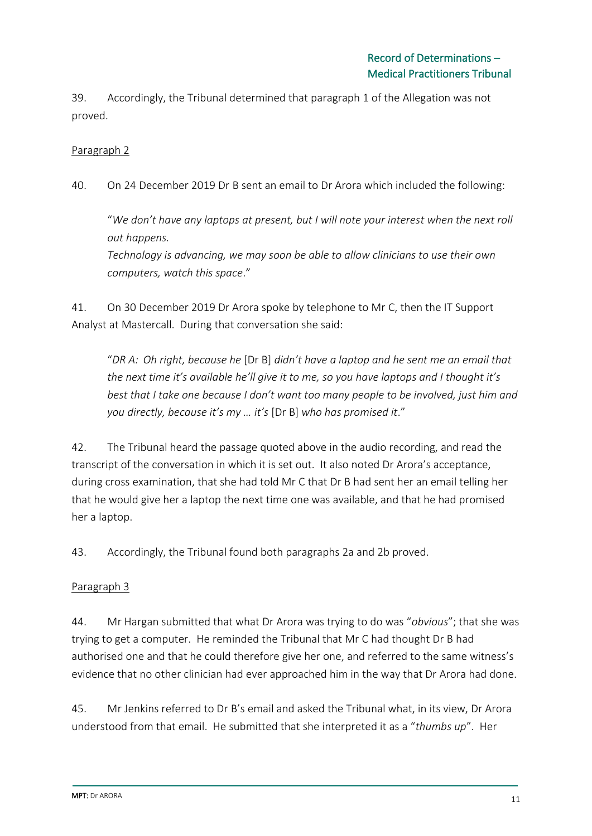39. Accordingly, the Tribunal determined that paragraph 1 of the Allegation was not proved.

Paragraph 2

40. On 24 December 2019 Dr B sent an email to Dr Arora which included the following:

"*We don't have any laptops at present, but I will note your interest when the next roll out happens.*

*Technology is advancing, we may soon be able to allow clinicians to use their own computers, watch this space*."

41. On 30 December 2019 Dr Arora spoke by telephone to Mr C, then the IT Support Analyst at Mastercall. During that conversation she said:

"*DR A: Oh right, because he* [Dr B] *didn't have a laptop and he sent me an email that the next time it's available he'll give it to me, so you have laptops and I thought it's best that I take one because I don't want too many people to be involved, just him and you directly, because it's my … it's* [Dr B] *who has promised it*."

42. The Tribunal heard the passage quoted above in the audio recording, and read the transcript of the conversation in which it is set out. It also noted Dr Arora's acceptance, during cross examination, that she had told Mr C that Dr B had sent her an email telling her that he would give her a laptop the next time one was available, and that he had promised her a laptop.

43. Accordingly, the Tribunal found both paragraphs 2a and 2b proved.

## Paragraph 3

44. Mr Hargan submitted that what Dr Arora was trying to do was "*obvious*"; that she was trying to get a computer. He reminded the Tribunal that Mr C had thought Dr B had authorised one and that he could therefore give her one, and referred to the same witness's evidence that no other clinician had ever approached him in the way that Dr Arora had done.

45. Mr Jenkins referred to Dr B's email and asked the Tribunal what, in its view, Dr Arora understood from that email. He submitted that she interpreted it as a "*thumbs up*". Her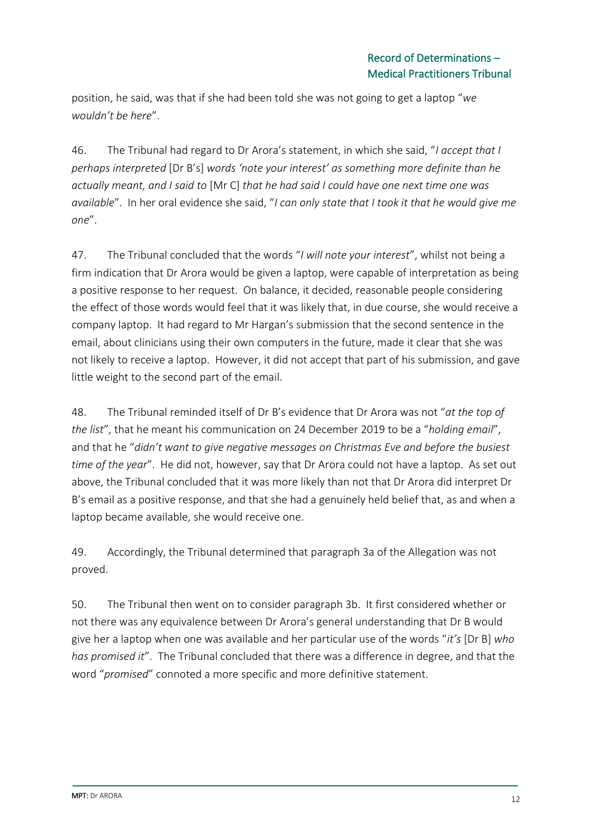position, he said, was that if she had been told she was not going to get a laptop "*we wouldn't be here*".

46. The Tribunal had regard to Dr Arora's statement, in which she said, "*I accept that I perhaps interpreted* [Dr B's] *words 'note your interest' as something more definite than he actually meant, and I said to* [Mr C] *that he had said I could have one next time one was available*". In her oral evidence she said, "*I can only state that I took it that he would give me one*".

47. The Tribunal concluded that the words "*I will note your interest*", whilst not being a firm indication that Dr Arora would be given a laptop, were capable of interpretation as being a positive response to her request. On balance, it decided, reasonable people considering the effect of those words would feel that it was likely that, in due course, she would receive a company laptop. It had regard to Mr Hargan's submission that the second sentence in the email, about clinicians using their own computers in the future, made it clear that she was not likely to receive a laptop. However, it did not accept that part of his submission, and gave little weight to the second part of the email.

48. The Tribunal reminded itself of Dr B's evidence that Dr Arora was not "*at the top of the list*", that he meant his communication on 24 December 2019 to be a "*holding email*", and that he "*didn't want to give negative messages on Christmas Eve and before the busiest time of the year*". He did not, however, say that Dr Arora could not have a laptop. As set out above, the Tribunal concluded that it was more likely than not that Dr Arora did interpret Dr B's email as a positive response, and that she had a genuinely held belief that, as and when a laptop became available, she would receive one.

49. Accordingly, the Tribunal determined that paragraph 3a of the Allegation was not proved.

50. The Tribunal then went on to consider paragraph 3b. It first considered whether or not there was any equivalence between Dr Arora's general understanding that Dr B would give her a laptop when one was available and her particular use of the words "*it's* [Dr B] *who has promised it*". The Tribunal concluded that there was a difference in degree, and that the word "*promised*" connoted a more specific and more definitive statement.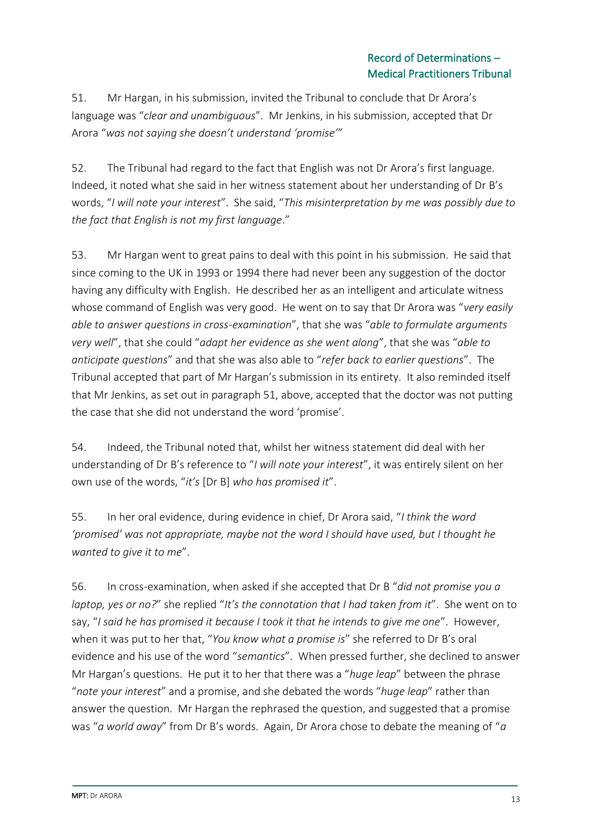51. Mr Hargan, in his submission, invited the Tribunal to conclude that Dr Arora's language was "*clear and unambiguous*". Mr Jenkins, in his submission, accepted that Dr Arora "*was not saying she doesn't understand 'promise'*"

52. The Tribunal had regard to the fact that English was not Dr Arora's first language. Indeed, it noted what she said in her witness statement about her understanding of Dr B's words, "*I will note your interest*". She said, "*This misinterpretation by me was possibly due to the fact that English is not my first language*."

53. Mr Hargan went to great pains to deal with this point in his submission. He said that since coming to the UK in 1993 or 1994 there had never been any suggestion of the doctor having any difficulty with English. He described her as an intelligent and articulate witness whose command of English was very good. He went on to say that Dr Arora was "*very easily able to answer questions in cross-examination*", that she was "*able to formulate arguments very well*", that she could "*adapt her evidence as she went along*", that she was "*able to anticipate questions*" and that she was also able to "*refer back to earlier questions*". The Tribunal accepted that part of Mr Hargan's submission in its entirety. It also reminded itself that Mr Jenkins, as set out in paragraph 51, above, accepted that the doctor was not putting the case that she did not understand the word 'promise'.

54. Indeed, the Tribunal noted that, whilst her witness statement did deal with her understanding of Dr B's reference to "*I will note your interest*", it was entirely silent on her own use of the words, "*it's* [Dr B] *who has promised it*".

55. In her oral evidence, during evidence in chief, Dr Arora said, "*I think the word 'promised' was not appropriate, maybe not the word I should have used, but I thought he wanted to give it to me*".

56. In cross-examination, when asked if she accepted that Dr B "*did not promise you a laptop, yes or no?*" she replied "*It's the connotation that I had taken from it*". She went on to say, "*I said he has promised it because I took it that he intends to give me one*". However, when it was put to her that, "*You know what a promise is*" she referred to Dr B's oral evidence and his use of the word "*semantics*". When pressed further, she declined to answer Mr Hargan's questions. He put it to her that there was a "*huge leap*" between the phrase "*note your interest*" and a promise, and she debated the words "*huge leap*" rather than answer the question. Mr Hargan the rephrased the question, and suggested that a promise was "*a world away*" from Dr B's words. Again, Dr Arora chose to debate the meaning of "*a*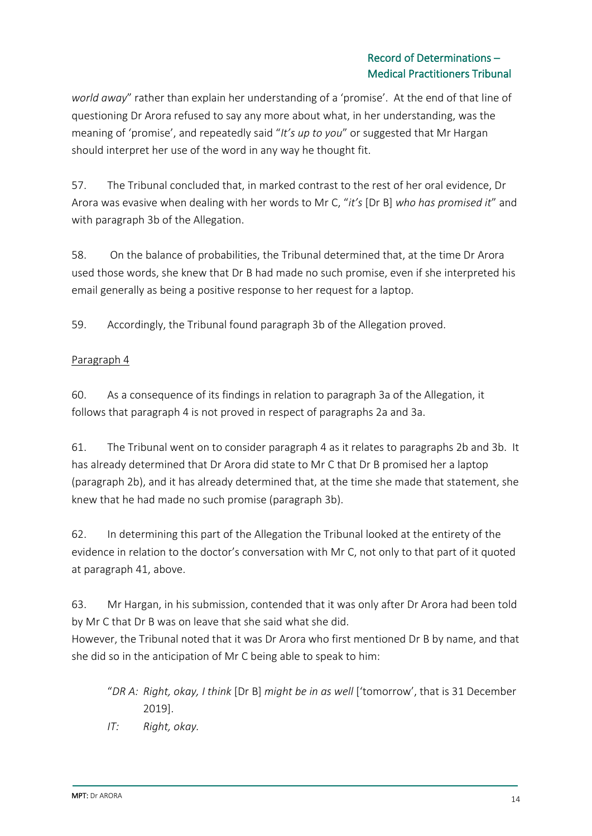### Record of Determinations – Medical Practitioners Tribunal

*world away*" rather than explain her understanding of a 'promise'. At the end of that line of questioning Dr Arora refused to say any more about what, in her understanding, was the meaning of 'promise', and repeatedly said "*It's up to you*" or suggested that Mr Hargan should interpret her use of the word in any way he thought fit.

57. The Tribunal concluded that, in marked contrast to the rest of her oral evidence, Dr Arora was evasive when dealing with her words to Mr C, "*it's* [Dr B] *who has promised it*" and with paragraph 3b of the Allegation.

58. On the balance of probabilities, the Tribunal determined that, at the time Dr Arora used those words, she knew that Dr B had made no such promise, even if she interpreted his email generally as being a positive response to her request for a laptop.

59. Accordingly, the Tribunal found paragraph 3b of the Allegation proved.

### Paragraph 4

60. As a consequence of its findings in relation to paragraph 3a of the Allegation, it follows that paragraph 4 is not proved in respect of paragraphs 2a and 3a.

61. The Tribunal went on to consider paragraph 4 as it relates to paragraphs 2b and 3b. It has already determined that Dr Arora did state to Mr C that Dr B promised her a laptop (paragraph 2b), and it has already determined that, at the time she made that statement, she knew that he had made no such promise (paragraph 3b).

62. In determining this part of the Allegation the Tribunal looked at the entirety of the evidence in relation to the doctor's conversation with Mr C, not only to that part of it quoted at paragraph 41, above.

63. Mr Hargan, in his submission, contended that it was only after Dr Arora had been told by Mr C that Dr B was on leave that she said what she did.

However, the Tribunal noted that it was Dr Arora who first mentioned Dr B by name, and that she did so in the anticipation of Mr C being able to speak to him:

- "*DR A: Right, okay, I think* [Dr B] *might be in as well* ['tomorrow', that is 31 December 2019].
- *IT: Right, okay.*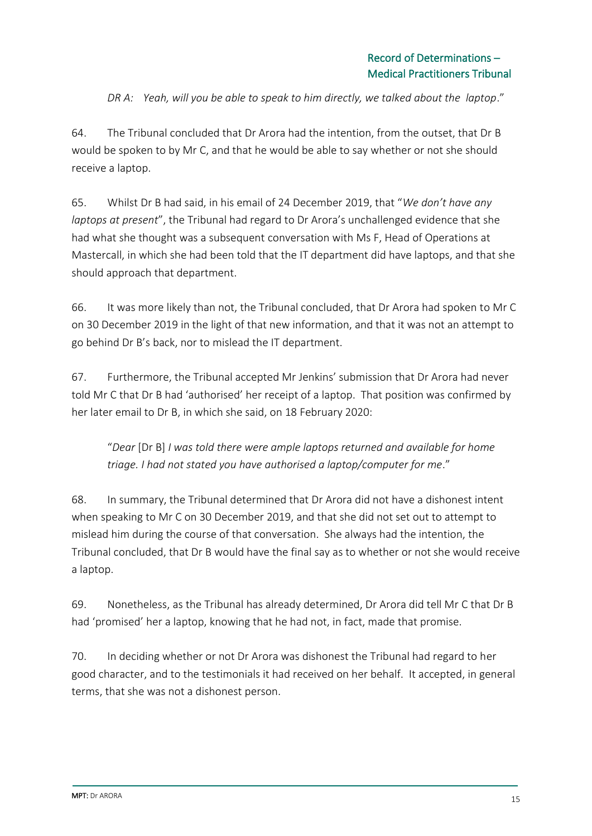*DR A: Yeah, will you be able to speak to him directly, we talked about the laptop*."

64. The Tribunal concluded that Dr Arora had the intention, from the outset, that Dr B would be spoken to by Mr C, and that he would be able to say whether or not she should receive a laptop.

65. Whilst Dr B had said, in his email of 24 December 2019, that "*We don't have any laptops at present*", the Tribunal had regard to Dr Arora's unchallenged evidence that she had what she thought was a subsequent conversation with Ms F, Head of Operations at Mastercall, in which she had been told that the IT department did have laptops, and that she should approach that department.

66. It was more likely than not, the Tribunal concluded, that Dr Arora had spoken to Mr C on 30 December 2019 in the light of that new information, and that it was not an attempt to go behind Dr B's back, nor to mislead the IT department.

67. Furthermore, the Tribunal accepted Mr Jenkins' submission that Dr Arora had never told Mr C that Dr B had 'authorised' her receipt of a laptop. That position was confirmed by her later email to Dr B, in which she said, on 18 February 2020:

"*Dear* [Dr B] *I was told there were ample laptops returned and available for home triage. I had not stated you have authorised a laptop/computer for me*."

68. In summary, the Tribunal determined that Dr Arora did not have a dishonest intent when speaking to Mr C on 30 December 2019, and that she did not set out to attempt to mislead him during the course of that conversation. She always had the intention, the Tribunal concluded, that Dr B would have the final say as to whether or not she would receive a laptop.

69. Nonetheless, as the Tribunal has already determined, Dr Arora did tell Mr C that Dr B had 'promised' her a laptop, knowing that he had not, in fact, made that promise.

70. In deciding whether or not Dr Arora was dishonest the Tribunal had regard to her good character, and to the testimonials it had received on her behalf. It accepted, in general terms, that she was not a dishonest person.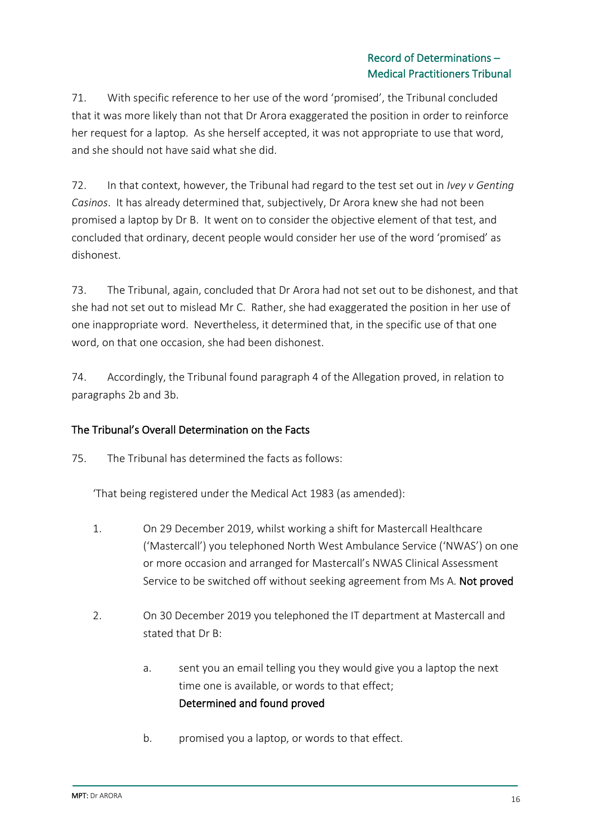### Record of Determinations – Medical Practitioners Tribunal

71. With specific reference to her use of the word 'promised', the Tribunal concluded that it was more likely than not that Dr Arora exaggerated the position in order to reinforce her request for a laptop. As she herself accepted, it was not appropriate to use that word, and she should not have said what she did.

72. In that context, however, the Tribunal had regard to the test set out in *Ivey v Genting Casinos*. It has already determined that, subjectively, Dr Arora knew she had not been promised a laptop by Dr B. It went on to consider the objective element of that test, and concluded that ordinary, decent people would consider her use of the word 'promised' as dishonest.

73. The Tribunal, again, concluded that Dr Arora had not set out to be dishonest, and that she had not set out to mislead Mr C. Rather, she had exaggerated the position in her use of one inappropriate word. Nevertheless, it determined that, in the specific use of that one word, on that one occasion, she had been dishonest.

74. Accordingly, the Tribunal found paragraph 4 of the Allegation proved, in relation to paragraphs 2b and 3b.

## The Tribunal's Overall Determination on the Facts

75. The Tribunal has determined the facts as follows:

'That being registered under the Medical Act 1983 (as amended):

- 1. On 29 December 2019, whilst working a shift for Mastercall Healthcare ('Mastercall') you telephoned North West Ambulance Service ('NWAS') on one or more occasion and arranged for Mastercall's NWAS Clinical Assessment Service to be switched off without seeking agreement from Ms A. Not proved
- 2. On 30 December 2019 you telephoned the IT department at Mastercall and stated that Dr B:
	- a. sent you an email telling you they would give you a laptop the next time one is available, or words to that effect; Determined and found proved
	- b. promised you a laptop, or words to that effect.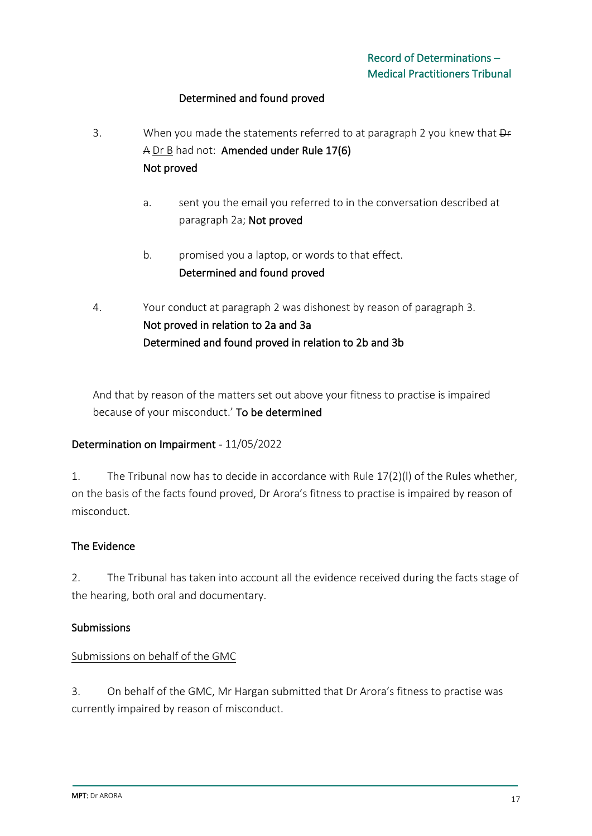### Determined and found proved

- 3. When you made the statements referred to at paragraph 2 you knew that  $\theta$ A Dr B had not: Amended under Rule 17(6) Not proved
	- a. sent you the email you referred to in the conversation described at paragraph 2a; Not proved
	- b. promised you a laptop, or words to that effect. Determined and found proved
- 4. Your conduct at paragraph 2 was dishonest by reason of paragraph 3. Not proved in relation to 2a and 3a Determined and found proved in relation to 2b and 3b

And that by reason of the matters set out above your fitness to practise is impaired because of your misconduct.' To be determined

### Determination on Impairment - 11/05/2022

1. The Tribunal now has to decide in accordance with Rule 17(2)(l) of the Rules whether, on the basis of the facts found proved, Dr Arora's fitness to practise is impaired by reason of misconduct.

### The Evidence

2. The Tribunal has taken into account all the evidence received during the facts stage of the hearing, both oral and documentary.

### Submissions

### Submissions on behalf of the GMC

3. On behalf of the GMC, Mr Hargan submitted that Dr Arora's fitness to practise was currently impaired by reason of misconduct.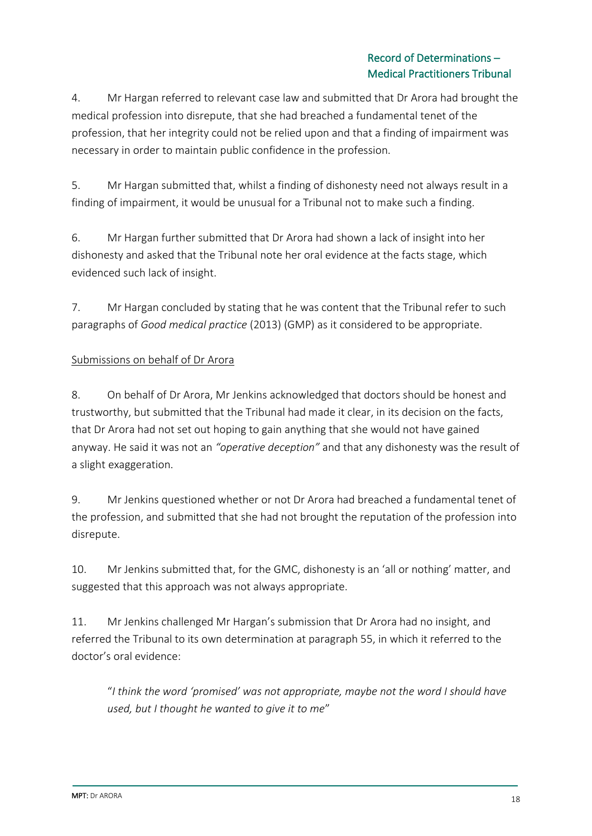4. Mr Hargan referred to relevant case law and submitted that Dr Arora had brought the medical profession into disrepute, that she had breached a fundamental tenet of the profession, that her integrity could not be relied upon and that a finding of impairment was necessary in order to maintain public confidence in the profession.

5. Mr Hargan submitted that, whilst a finding of dishonesty need not always result in a finding of impairment, it would be unusual for a Tribunal not to make such a finding.

6. Mr Hargan further submitted that Dr Arora had shown a lack of insight into her dishonesty and asked that the Tribunal note her oral evidence at the facts stage, which evidenced such lack of insight.

7. Mr Hargan concluded by stating that he was content that the Tribunal refer to such paragraphs of *Good medical practice* (2013) (GMP) as it considered to be appropriate.

## Submissions on behalf of Dr Arora

8. On behalf of Dr Arora, Mr Jenkins acknowledged that doctors should be honest and trustworthy, but submitted that the Tribunal had made it clear, in its decision on the facts, that Dr Arora had not set out hoping to gain anything that she would not have gained anyway. He said it was not an *"operative deception"* and that any dishonesty was the result of a slight exaggeration.

9. Mr Jenkins questioned whether or not Dr Arora had breached a fundamental tenet of the profession, and submitted that she had not brought the reputation of the profession into disrepute.

10. Mr Jenkins submitted that, for the GMC, dishonesty is an 'all or nothing' matter, and suggested that this approach was not always appropriate.

11. Mr Jenkins challenged Mr Hargan's submission that Dr Arora had no insight, and referred the Tribunal to its own determination at paragraph 55, in which it referred to the doctor's oral evidence:

"*I think the word 'promised' was not appropriate, maybe not the word I should have used, but I thought he wanted to give it to me*"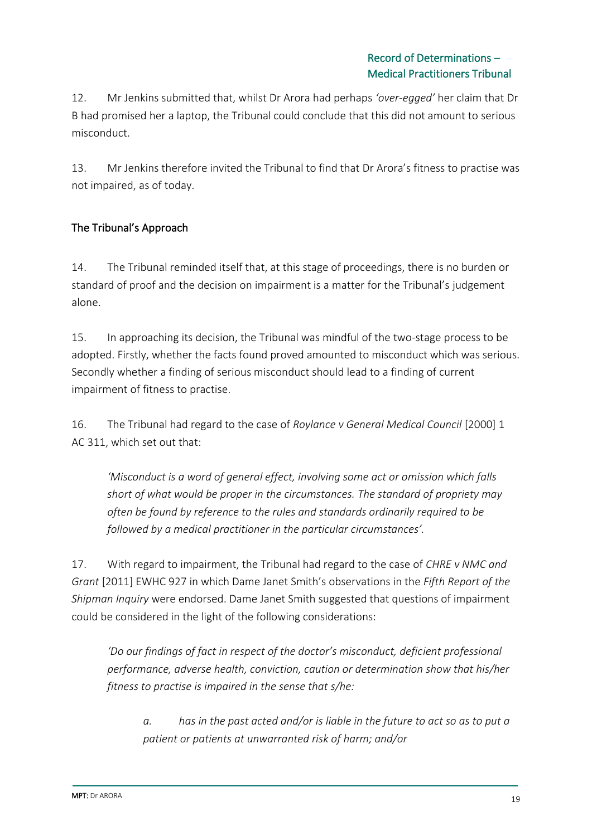12. Mr Jenkins submitted that, whilst Dr Arora had perhaps *'over-egged'* her claim that Dr B had promised her a laptop, the Tribunal could conclude that this did not amount to serious misconduct.

13. Mr Jenkins therefore invited the Tribunal to find that Dr Arora's fitness to practise was not impaired, as of today.

## The Tribunal's Approach

14. The Tribunal reminded itself that, at this stage of proceedings, there is no burden or standard of proof and the decision on impairment is a matter for the Tribunal's judgement alone.

15. In approaching its decision, the Tribunal was mindful of the two-stage process to be adopted. Firstly, whether the facts found proved amounted to misconduct which was serious. Secondly whether a finding of serious misconduct should lead to a finding of current impairment of fitness to practise.

16. The Tribunal had regard to the case of *Roylance v General Medical Council* [2000] 1 AC 311, which set out that:

*'Misconduct is a word of general effect, involving some act or omission which falls short of what would be proper in the circumstances. The standard of propriety may often be found by reference to the rules and standards ordinarily required to be followed by a medical practitioner in the particular circumstances'.*

17. With regard to impairment, the Tribunal had regard to the case of *CHRE v NMC and Grant* [2011] EWHC 927 in which Dame Janet Smith's observations in the *Fifth Report of the Shipman Inquiry* were endorsed. Dame Janet Smith suggested that questions of impairment could be considered in the light of the following considerations:

*'Do our findings of fact in respect of the doctor's misconduct, deficient professional performance, adverse health, conviction, caution or determination show that his/her fitness to practise is impaired in the sense that s/he:*

*a. has in the past acted and/or is liable in the future to act so as to put a patient or patients at unwarranted risk of harm; and/or*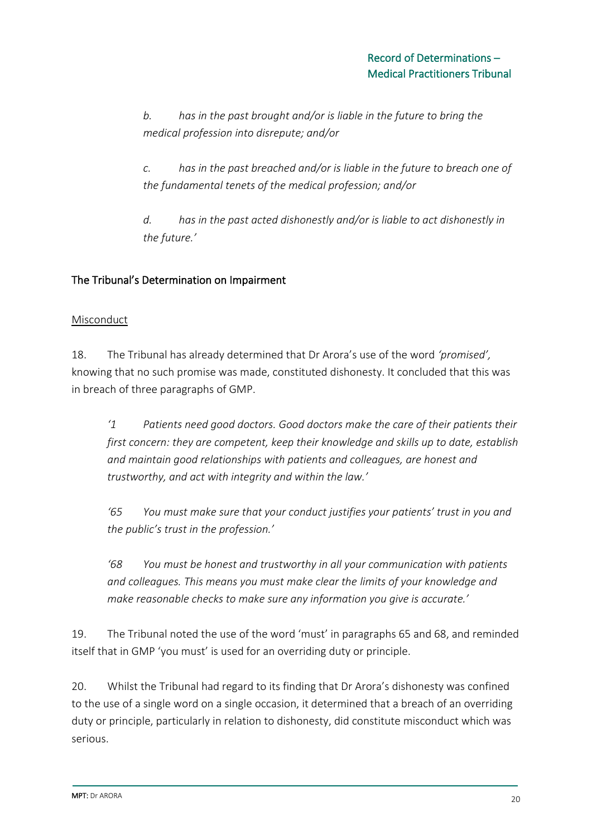*b. has in the past brought and/or is liable in the future to bring the medical profession into disrepute; and/or*

*c. has in the past breached and/or is liable in the future to breach one of the fundamental tenets of the medical profession; and/or*

*d. has in the past acted dishonestly and/or is liable to act dishonestly in the future.'*

### The Tribunal's Determination on Impairment

### **Misconduct**

18. The Tribunal has already determined that Dr Arora's use of the word *'promised',* knowing that no such promise was made, constituted dishonesty. It concluded that this was in breach of three paragraphs of GMP.

*'1 Patients need good doctors. Good doctors make the care of their patients their first concern: they are competent, keep their knowledge and skills up to date, establish and maintain good relationships with patients and colleagues, are honest and trustworthy, and act with integrity and within the law.'*

*'65 You must make sure that your conduct justifies your patients' trust in you and the public's trust in the profession.'*

*'68 You must be honest and trustworthy in all your communication with patients and colleagues. This means you must make clear the limits of your knowledge and make reasonable checks to make sure any information you give is accurate.'*

19. The Tribunal noted the use of the word 'must' in paragraphs 65 and 68, and reminded itself that in GMP 'you must' is used for an overriding duty or principle.

20. Whilst the Tribunal had regard to its finding that Dr Arora's dishonesty was confined to the use of a single word on a single occasion, it determined that a breach of an overriding duty or principle, particularly in relation to dishonesty, did constitute misconduct which was serious.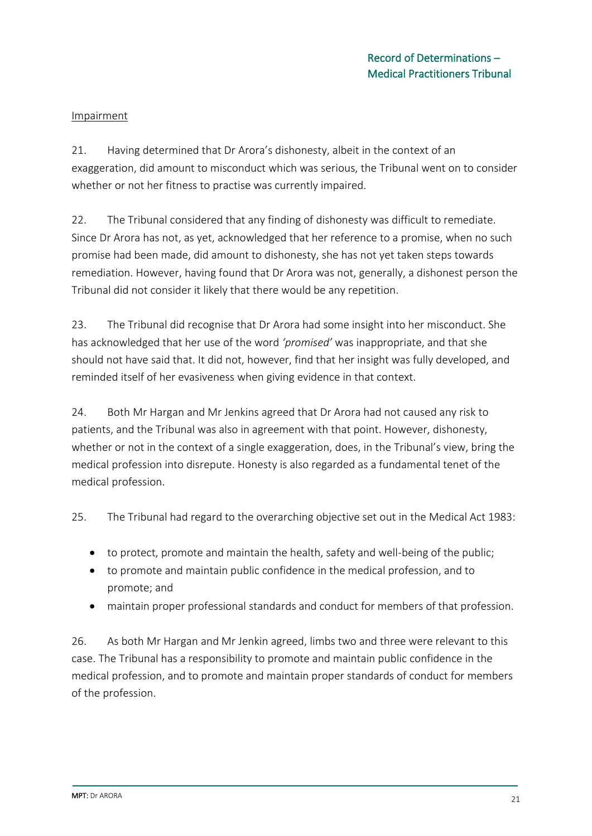#### Impairment

21. Having determined that Dr Arora's dishonesty, albeit in the context of an exaggeration, did amount to misconduct which was serious, the Tribunal went on to consider whether or not her fitness to practise was currently impaired.

22. The Tribunal considered that any finding of dishonesty was difficult to remediate. Since Dr Arora has not, as yet, acknowledged that her reference to a promise, when no such promise had been made, did amount to dishonesty, she has not yet taken steps towards remediation. However, having found that Dr Arora was not, generally, a dishonest person the Tribunal did not consider it likely that there would be any repetition.

23. The Tribunal did recognise that Dr Arora had some insight into her misconduct. She has acknowledged that her use of the word *'promised'* was inappropriate, and that she should not have said that. It did not, however, find that her insight was fully developed, and reminded itself of her evasiveness when giving evidence in that context.

24. Both Mr Hargan and Mr Jenkins agreed that Dr Arora had not caused any risk to patients, and the Tribunal was also in agreement with that point. However, dishonesty, whether or not in the context of a single exaggeration, does, in the Tribunal's view, bring the medical profession into disrepute. Honesty is also regarded as a fundamental tenet of the medical profession.

25. The Tribunal had regard to the overarching objective set out in the Medical Act 1983:

- to protect, promote and maintain the health, safety and well-being of the public;
- to promote and maintain public confidence in the medical profession, and to promote; and
- maintain proper professional standards and conduct for members of that profession.

26. As both Mr Hargan and Mr Jenkin agreed, limbs two and three were relevant to this case. The Tribunal has a responsibility to promote and maintain public confidence in the medical profession, and to promote and maintain proper standards of conduct for members of the profession.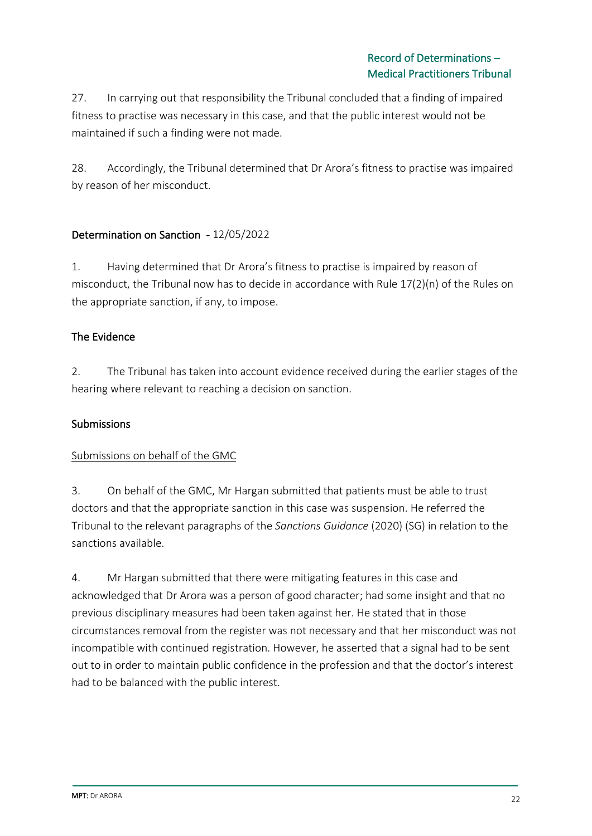27. In carrying out that responsibility the Tribunal concluded that a finding of impaired fitness to practise was necessary in this case, and that the public interest would not be maintained if such a finding were not made.

28. Accordingly, the Tribunal determined that Dr Arora's fitness to practise was impaired by reason of her misconduct.

### Determination on Sanction - 12/05/2022

1. Having determined that Dr Arora's fitness to practise is impaired by reason of misconduct, the Tribunal now has to decide in accordance with Rule 17(2)(n) of the Rules on the appropriate sanction, if any, to impose.

### The Evidence

2. The Tribunal has taken into account evidence received during the earlier stages of the hearing where relevant to reaching a decision on sanction.

### **Submissions**

### Submissions on behalf of the GMC

3. On behalf of the GMC, Mr Hargan submitted that patients must be able to trust doctors and that the appropriate sanction in this case was suspension. He referred the Tribunal to the relevant paragraphs of the *Sanctions Guidance* (2020) (SG) in relation to the sanctions available.

4. Mr Hargan submitted that there were mitigating features in this case and acknowledged that Dr Arora was a person of good character; had some insight and that no previous disciplinary measures had been taken against her. He stated that in those circumstances removal from the register was not necessary and that her misconduct was not incompatible with continued registration. However, he asserted that a signal had to be sent out to in order to maintain public confidence in the profession and that the doctor's interest had to be balanced with the public interest.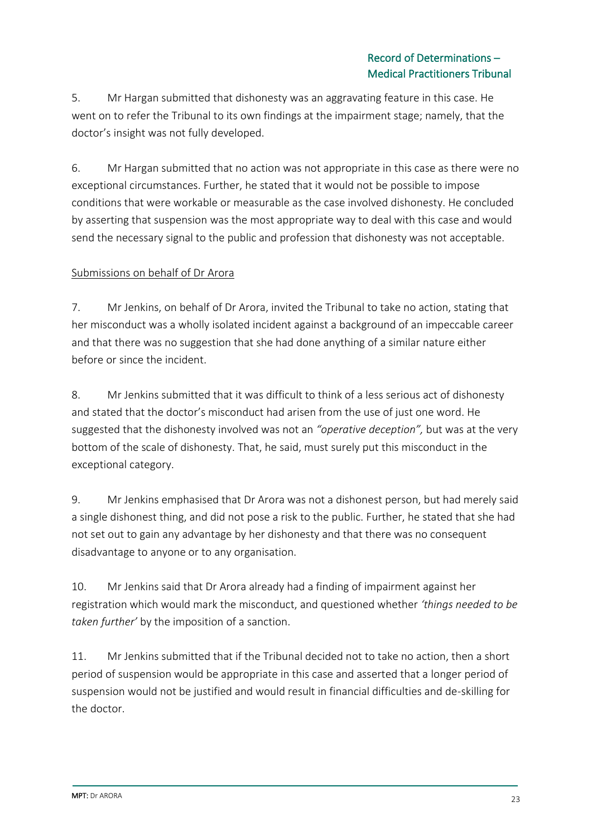5. Mr Hargan submitted that dishonesty was an aggravating feature in this case. He went on to refer the Tribunal to its own findings at the impairment stage; namely, that the doctor's insight was not fully developed.

6. Mr Hargan submitted that no action was not appropriate in this case as there were no exceptional circumstances. Further, he stated that it would not be possible to impose conditions that were workable or measurable as the case involved dishonesty. He concluded by asserting that suspension was the most appropriate way to deal with this case and would send the necessary signal to the public and profession that dishonesty was not acceptable.

### Submissions on behalf of Dr Arora

7. Mr Jenkins, on behalf of Dr Arora, invited the Tribunal to take no action, stating that her misconduct was a wholly isolated incident against a background of an impeccable career and that there was no suggestion that she had done anything of a similar nature either before or since the incident.

8. Mr Jenkins submitted that it was difficult to think of a less serious act of dishonesty and stated that the doctor's misconduct had arisen from the use of just one word. He suggested that the dishonesty involved was not an *"operative deception",* but was at the very bottom of the scale of dishonesty. That, he said, must surely put this misconduct in the exceptional category.

9. Mr Jenkins emphasised that Dr Arora was not a dishonest person, but had merely said a single dishonest thing, and did not pose a risk to the public. Further, he stated that she had not set out to gain any advantage by her dishonesty and that there was no consequent disadvantage to anyone or to any organisation.

10. Mr Jenkins said that Dr Arora already had a finding of impairment against her registration which would mark the misconduct, and questioned whether *'things needed to be taken further'* by the imposition of a sanction.

11. Mr Jenkins submitted that if the Tribunal decided not to take no action, then a short period of suspension would be appropriate in this case and asserted that a longer period of suspension would not be justified and would result in financial difficulties and de-skilling for the doctor.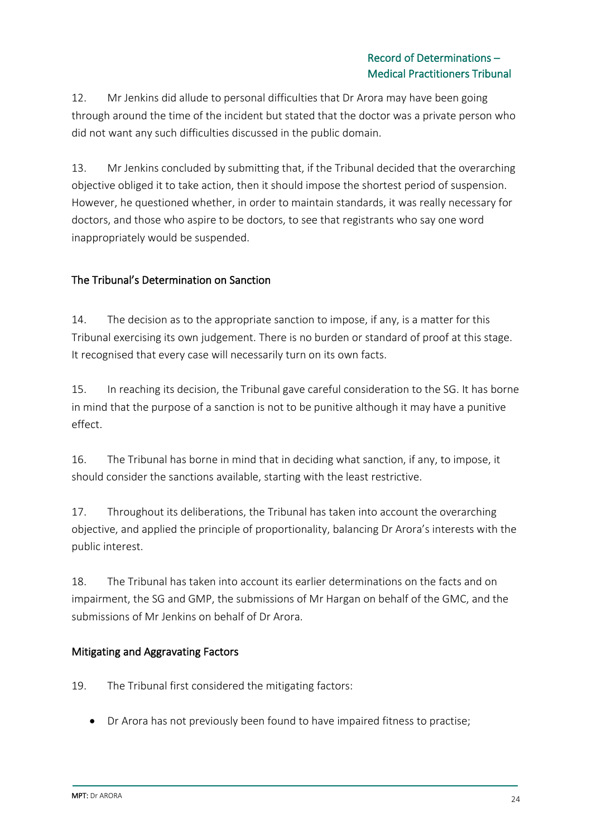12. Mr Jenkins did allude to personal difficulties that Dr Arora may have been going through around the time of the incident but stated that the doctor was a private person who did not want any such difficulties discussed in the public domain.

13. Mr Jenkins concluded by submitting that, if the Tribunal decided that the overarching objective obliged it to take action, then it should impose the shortest period of suspension. However, he questioned whether, in order to maintain standards, it was really necessary for doctors, and those who aspire to be doctors, to see that registrants who say one word inappropriately would be suspended.

## The Tribunal's Determination on Sanction

14. The decision as to the appropriate sanction to impose, if any, is a matter for this Tribunal exercising its own judgement. There is no burden or standard of proof at this stage. It recognised that every case will necessarily turn on its own facts.

15. In reaching its decision, the Tribunal gave careful consideration to the SG. It has borne in mind that the purpose of a sanction is not to be punitive although it may have a punitive effect.

16. The Tribunal has borne in mind that in deciding what sanction, if any, to impose, it should consider the sanctions available, starting with the least restrictive.

17. Throughout its deliberations, the Tribunal has taken into account the overarching objective, and applied the principle of proportionality, balancing Dr Arora's interests with the public interest.

18. The Tribunal has taken into account its earlier determinations on the facts and on impairment, the SG and GMP, the submissions of Mr Hargan on behalf of the GMC, and the submissions of Mr Jenkins on behalf of Dr Arora.

### Mitigating and Aggravating Factors

19. The Tribunal first considered the mitigating factors:

• Dr Arora has not previously been found to have impaired fitness to practise;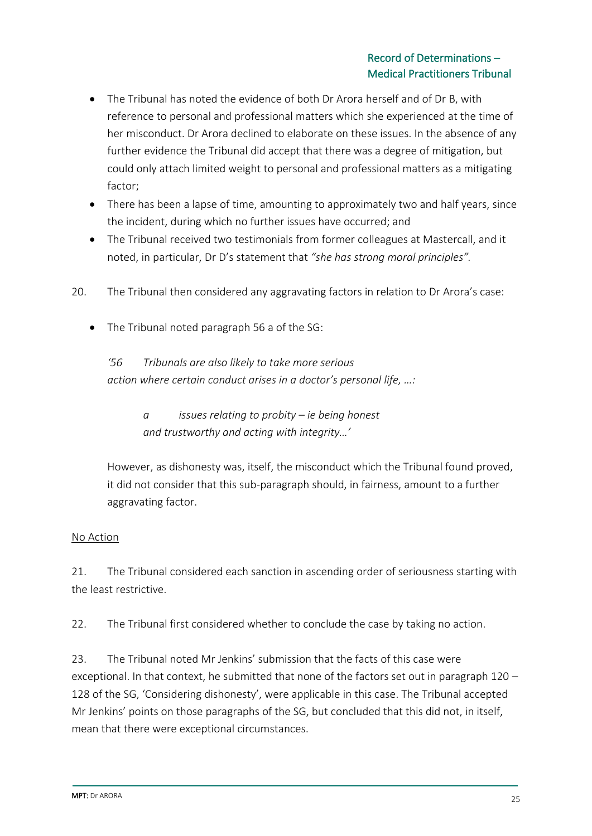- The Tribunal has noted the evidence of both Dr Arora herself and of Dr B, with reference to personal and professional matters which she experienced at the time of her misconduct. Dr Arora declined to elaborate on these issues. In the absence of any further evidence the Tribunal did accept that there was a degree of mitigation, but could only attach limited weight to personal and professional matters as a mitigating factor;
- There has been a lapse of time, amounting to approximately two and half years, since the incident, during which no further issues have occurred; and
- The Tribunal received two testimonials from former colleagues at Mastercall, and it noted, in particular, Dr D's statement that *"she has strong moral principles".*
- 20. The Tribunal then considered any aggravating factors in relation to Dr Arora's case:
	- The Tribunal noted paragraph 56 a of the SG:

*'56 Tribunals are also likely to take more serious action where certain conduct arises in a doctor's personal life, …:*

> *a issues relating to probity – ie being honest and trustworthy and acting with integrity…'*

However, as dishonesty was, itself, the misconduct which the Tribunal found proved, it did not consider that this sub-paragraph should, in fairness, amount to a further aggravating factor.

### No Action

21. The Tribunal considered each sanction in ascending order of seriousness starting with the least restrictive.

22. The Tribunal first considered whether to conclude the case by taking no action.

23. The Tribunal noted Mr Jenkins' submission that the facts of this case were exceptional. In that context, he submitted that none of the factors set out in paragraph 120 – 128 of the SG, 'Considering dishonesty', were applicable in this case. The Tribunal accepted Mr Jenkins' points on those paragraphs of the SG, but concluded that this did not, in itself, mean that there were exceptional circumstances.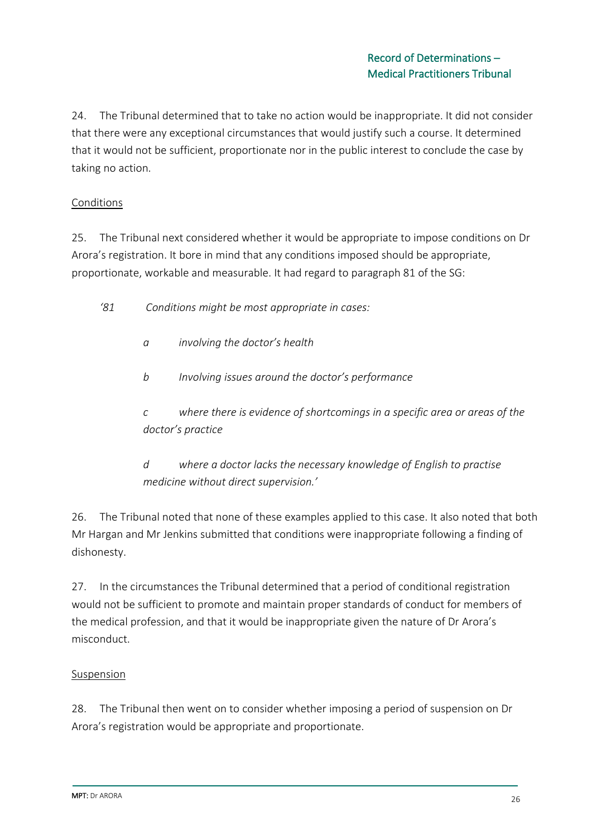24. The Tribunal determined that to take no action would be inappropriate. It did not consider that there were any exceptional circumstances that would justify such a course. It determined that it would not be sufficient, proportionate nor in the public interest to conclude the case by taking no action.

### Conditions

25. The Tribunal next considered whether it would be appropriate to impose conditions on Dr Arora's registration. It bore in mind that any conditions imposed should be appropriate, proportionate, workable and measurable. It had regard to paragraph 81 of the SG:

- *'81 Conditions might be most appropriate in cases:* 
	- *a involving the doctor's health*
	- *b Involving issues around the doctor's performance*

*c where there is evidence of shortcomings in a specific area or areas of the doctor's practice* 

*d where a doctor lacks the necessary knowledge of English to practise medicine without direct supervision.'*

26. The Tribunal noted that none of these examples applied to this case. It also noted that both Mr Hargan and Mr Jenkins submitted that conditions were inappropriate following a finding of dishonesty.

27. In the circumstances the Tribunal determined that a period of conditional registration would not be sufficient to promote and maintain proper standards of conduct for members of the medical profession, and that it would be inappropriate given the nature of Dr Arora's misconduct.

### **Suspension**

28. The Tribunal then went on to consider whether imposing a period of suspension on Dr Arora's registration would be appropriate and proportionate.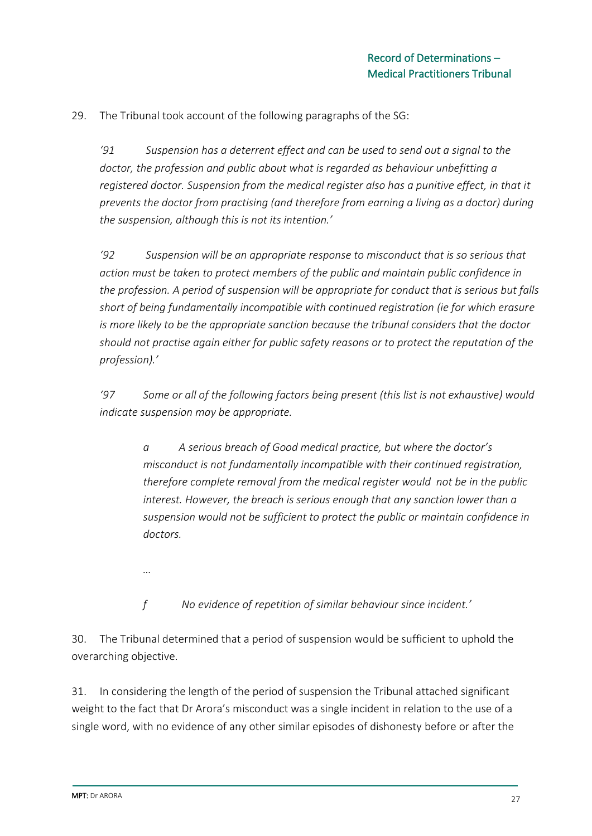29. The Tribunal took account of the following paragraphs of the SG:

*'91 Suspension has a deterrent effect and can be used to send out a signal to the doctor, the profession and public about what is regarded as behaviour unbefitting a registered doctor. Suspension from the medical register also has a punitive effect, in that it prevents the doctor from practising (and therefore from earning a living as a doctor) during the suspension, although this is not its intention.'*

*'92 Suspension will be an appropriate response to misconduct that is so serious that action must be taken to protect members of the public and maintain public confidence in the profession. A period of suspension will be appropriate for conduct that is serious but falls short of being fundamentally incompatible with continued registration (ie for which erasure is more likely to be the appropriate sanction because the tribunal considers that the doctor should not practise again either for public safety reasons or to protect the reputation of the profession).'*

*'97 Some or all of the following factors being present (this list is not exhaustive) would indicate suspension may be appropriate.*

*a A serious breach of Good medical practice, but where the doctor's misconduct is not fundamentally incompatible with their continued registration, therefore complete removal from the medical register would not be in the public interest. However, the breach is serious enough that any sanction lower than a suspension would not be sufficient to protect the public or maintain confidence in doctors.*

*…*

*f No evidence of repetition of similar behaviour since incident.'*

30. The Tribunal determined that a period of suspension would be sufficient to uphold the overarching objective.

31. In considering the length of the period of suspension the Tribunal attached significant weight to the fact that Dr Arora's misconduct was a single incident in relation to the use of a single word, with no evidence of any other similar episodes of dishonesty before or after the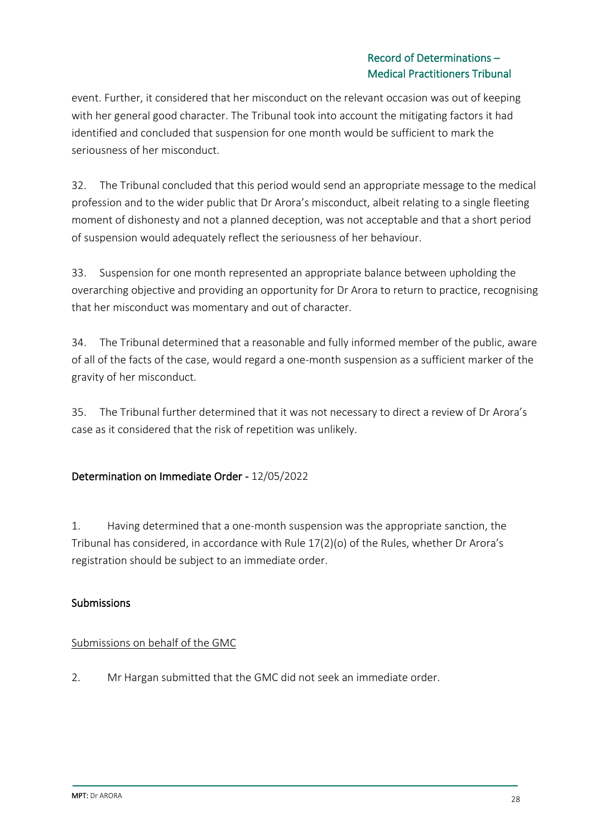### Record of Determinations – Medical Practitioners Tribunal

event. Further, it considered that her misconduct on the relevant occasion was out of keeping with her general good character. The Tribunal took into account the mitigating factors it had identified and concluded that suspension for one month would be sufficient to mark the seriousness of her misconduct.

32. The Tribunal concluded that this period would send an appropriate message to the medical profession and to the wider public that Dr Arora's misconduct, albeit relating to a single fleeting moment of dishonesty and not a planned deception, was not acceptable and that a short period of suspension would adequately reflect the seriousness of her behaviour.

33. Suspension for one month represented an appropriate balance between upholding the overarching objective and providing an opportunity for Dr Arora to return to practice, recognising that her misconduct was momentary and out of character.

34. The Tribunal determined that a reasonable and fully informed member of the public, aware of all of the facts of the case, would regard a one-month suspension as a sufficient marker of the gravity of her misconduct.

35. The Tribunal further determined that it was not necessary to direct a review of Dr Arora's case as it considered that the risk of repetition was unlikely.

## Determination on Immediate Order - 12/05/2022

1. Having determined that a one-month suspension was the appropriate sanction, the Tribunal has considered, in accordance with Rule 17(2)(o) of the Rules, whether Dr Arora's registration should be subject to an immediate order.

## Submissions

## Submissions on behalf of the GMC

2. Mr Hargan submitted that the GMC did not seek an immediate order.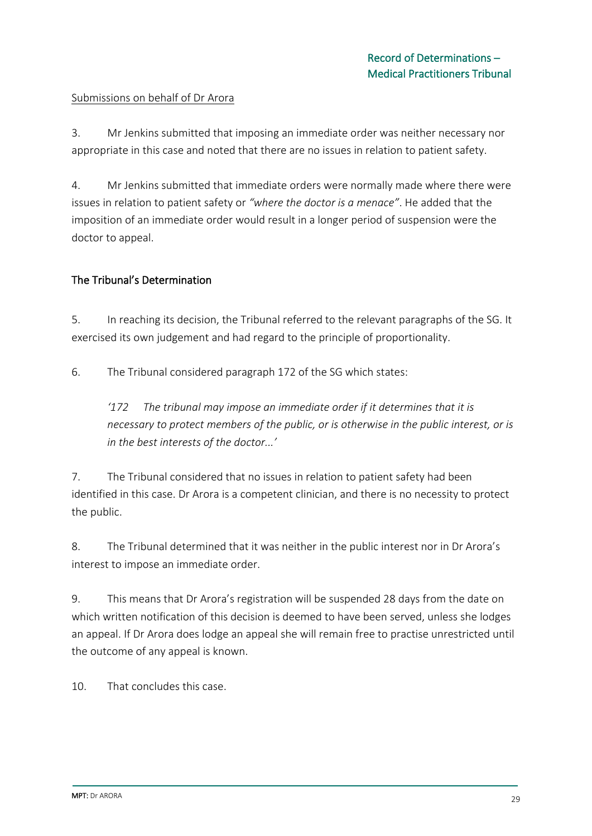#### Submissions on behalf of Dr Arora

3. Mr Jenkins submitted that imposing an immediate order was neither necessary nor appropriate in this case and noted that there are no issues in relation to patient safety.

4. Mr Jenkins submitted that immediate orders were normally made where there were issues in relation to patient safety or *"where the doctor is a menace"*. He added that the imposition of an immediate order would result in a longer period of suspension were the doctor to appeal.

### The Tribunal's Determination

5. In reaching its decision, the Tribunal referred to the relevant paragraphs of the SG. It exercised its own judgement and had regard to the principle of proportionality.

6. The Tribunal considered paragraph 172 of the SG which states:

*'172 The tribunal may impose an immediate order if it determines that it is necessary to protect members of the public, or is otherwise in the public interest, or is in the best interests of the doctor...'*

7. The Tribunal considered that no issues in relation to patient safety had been identified in this case. Dr Arora is a competent clinician, and there is no necessity to protect the public.

8. The Tribunal determined that it was neither in the public interest nor in Dr Arora's interest to impose an immediate order.

9. This means that Dr Arora's registration will be suspended 28 days from the date on which written notification of this decision is deemed to have been served, unless she lodges an appeal. If Dr Arora does lodge an appeal she will remain free to practise unrestricted until the outcome of any appeal is known.

10. That concludes this case.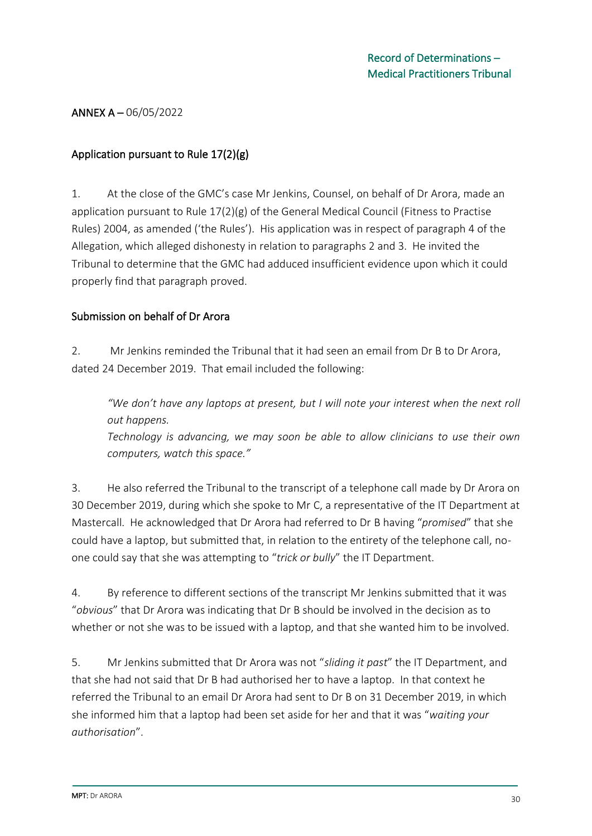#### ANNEX A – 06/05/2022

### Application pursuant to Rule 17(2)(g)

1. At the close of the GMC's case Mr Jenkins, Counsel, on behalf of Dr Arora, made an application pursuant to Rule 17(2)(g) of the General Medical Council (Fitness to Practise Rules) 2004, as amended ('the Rules'). His application was in respect of paragraph 4 of the Allegation, which alleged dishonesty in relation to paragraphs 2 and 3. He invited the Tribunal to determine that the GMC had adduced insufficient evidence upon which it could properly find that paragraph proved.

#### Submission on behalf of Dr Arora

2. Mr Jenkins reminded the Tribunal that it had seen an email from Dr B to Dr Arora, dated 24 December 2019. That email included the following:

*"We don't have any laptops at present, but I will note your interest when the next roll out happens.*

*Technology is advancing, we may soon be able to allow clinicians to use their own computers, watch this space."*

3. He also referred the Tribunal to the transcript of a telephone call made by Dr Arora on 30 December 2019, during which she spoke to Mr C, a representative of the IT Department at Mastercall. He acknowledged that Dr Arora had referred to Dr B having "*promised*" that she could have a laptop, but submitted that, in relation to the entirety of the telephone call, noone could say that she was attempting to "*trick or bully*" the IT Department.

4. By reference to different sections of the transcript Mr Jenkins submitted that it was "*obvious*" that Dr Arora was indicating that Dr B should be involved in the decision as to whether or not she was to be issued with a laptop, and that she wanted him to be involved.

5. Mr Jenkins submitted that Dr Arora was not "*sliding it past*" the IT Department, and that she had not said that Dr B had authorised her to have a laptop. In that context he referred the Tribunal to an email Dr Arora had sent to Dr B on 31 December 2019, in which she informed him that a laptop had been set aside for her and that it was "*waiting your authorisation*".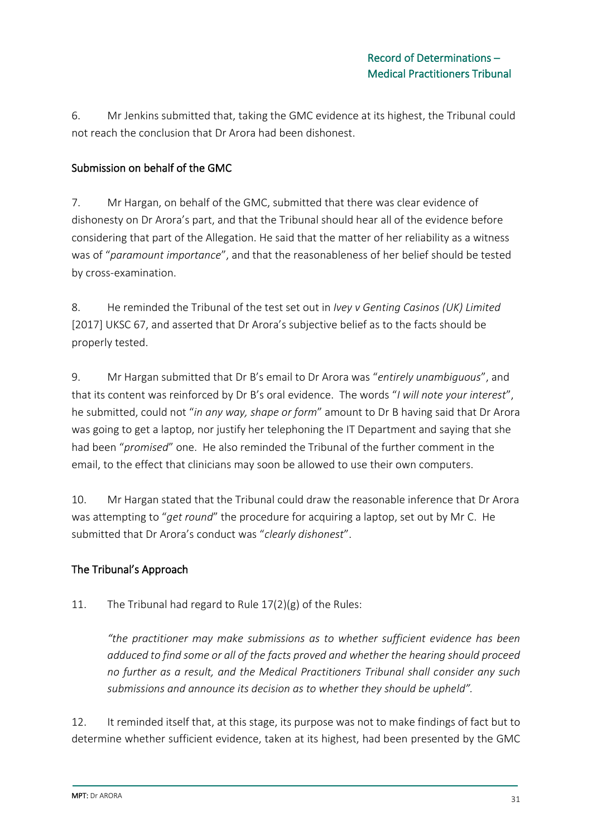6. Mr Jenkins submitted that, taking the GMC evidence at its highest, the Tribunal could not reach the conclusion that Dr Arora had been dishonest.

## Submission on behalf of the GMC

7. Mr Hargan, on behalf of the GMC, submitted that there was clear evidence of dishonesty on Dr Arora's part, and that the Tribunal should hear all of the evidence before considering that part of the Allegation. He said that the matter of her reliability as a witness was of "*paramount importance*", and that the reasonableness of her belief should be tested by cross-examination.

8. He reminded the Tribunal of the test set out in *Ivey v Genting Casinos (UK) Limited*  [2017] UKSC 67, and asserted that Dr Arora's subjective belief as to the facts should be properly tested.

9. Mr Hargan submitted that Dr B's email to Dr Arora was "*entirely unambiguous*", and that its content was reinforced by Dr B's oral evidence. The words "*I will note your interest*", he submitted, could not "*in any way, shape or form*" amount to Dr B having said that Dr Arora was going to get a laptop, nor justify her telephoning the IT Department and saying that she had been "*promised*" one. He also reminded the Tribunal of the further comment in the email, to the effect that clinicians may soon be allowed to use their own computers.

10. Mr Hargan stated that the Tribunal could draw the reasonable inference that Dr Arora was attempting to "*get round*" the procedure for acquiring a laptop, set out by Mr C. He submitted that Dr Arora's conduct was "*clearly dishonest*".

## The Tribunal's Approach

11. The Tribunal had regard to Rule 17(2)(g) of the Rules:

*"the practitioner may make submissions as to whether sufficient evidence has been adduced to find some or all of the facts proved and whether the hearing should proceed no further as a result, and the Medical Practitioners Tribunal shall consider any such submissions and announce its decision as to whether they should be upheld".*

12. It reminded itself that, at this stage, its purpose was not to make findings of fact but to determine whether sufficient evidence, taken at its highest, had been presented by the GMC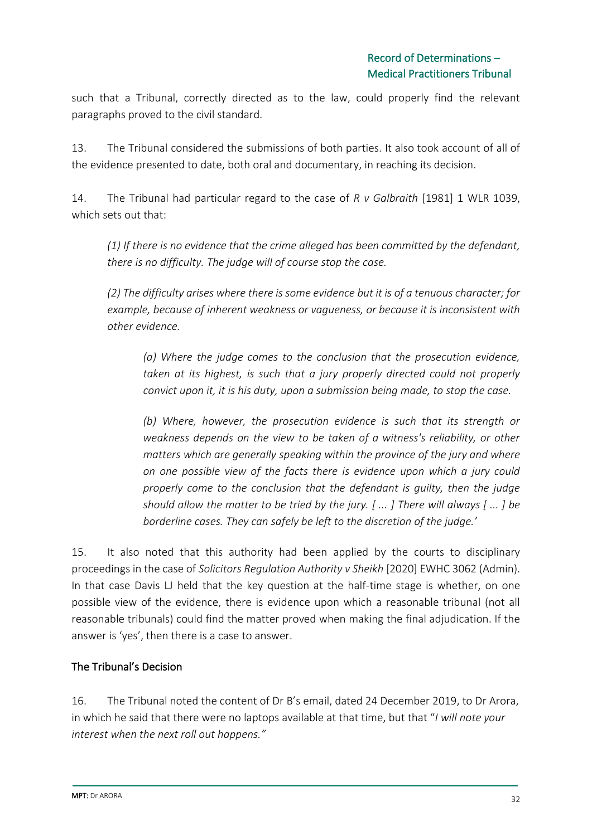such that a Tribunal, correctly directed as to the law, could properly find the relevant paragraphs proved to the civil standard.

13. The Tribunal considered the submissions of both parties. It also took account of all of the evidence presented to date, both oral and documentary, in reaching its decision.

14. The Tribunal had particular regard to the case of *R v Galbraith* [1981] 1 WLR 1039, which sets out that:

*(1) If there is no evidence that the crime alleged has been committed by the defendant, there is no difficulty. The judge will of course stop the case.* 

*(2) The difficulty arises where there is some evidence but it is of a tenuous character; for example, because of inherent weakness or vagueness, or because it is inconsistent with other evidence.* 

*(a) Where the judge comes to the conclusion that the prosecution evidence, taken at its highest, is such that a jury properly directed could not properly convict upon it, it is his duty, upon a submission being made, to stop the case.* 

*(b) Where, however, the prosecution evidence is such that its strength or weakness depends on the view to be taken of a witness's reliability, or other matters which are generally speaking within the province of the jury and where on one possible view of the facts there is evidence upon which a jury could properly come to the conclusion that the defendant is guilty, then the judge should allow the matter to be tried by the jury. [ ... ] There will always [ ... ] be borderline cases. They can safely be left to the discretion of the judge.'*

15. It also noted that this authority had been applied by the courts to disciplinary proceedings in the case of *Solicitors Regulation Authority v Sheikh* [2020] EWHC 3062 (Admin). In that case Davis LJ held that the key question at the half-time stage is whether, on one possible view of the evidence, there is evidence upon which a reasonable tribunal (not all reasonable tribunals) could find the matter proved when making the final adjudication. If the answer is 'yes', then there is a case to answer.

## The Tribunal's Decision

16. The Tribunal noted the content of Dr B's email, dated 24 December 2019, to Dr Arora, in which he said that there were no laptops available at that time, but that "*I will note your interest when the next roll out happens."*